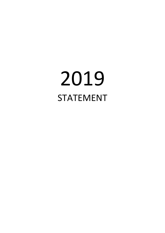# 2019 STATEMENT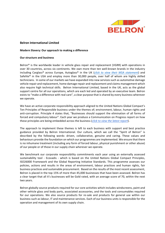

# **Belron International Limited**

#### **Modern Slavery: Our approach to making a difference**

## **Our structure and business**

Belron<sup>®</sup> is the worldwide leader in vehicle glass repair and replacement (VGRR) with operations in over 30 countries, across six continents. We own more than ten well-known brands in the industry including Carglass® across Europe, Autoglass® in the UK (*click to view their MSA statement*) and Safelite® in the USA and employ more than  $30,000$  people, over half of whom are highly skilled technicians. In some of our markets we have expanded into new services such as automotive damage vehicle repair and replacement, home damage repair and replacement and claims management which also require high technical skills. Belron International Limited, based in the UK, acts as the global support centre for all our operations, which are each led and operated by an executive team. Belron exists to "make a difference with real care", a clear purpose that is shared by every business wherever we operate.

We have an active corporate responsibility approach aligned to the United Nations Global Compact's Ten Principles of Responsible business under the themes of; environment, labour, human rights and anti-corruption. Principle 4 states that, "Businesses should support the elimination of all forms of forced and compulsory labour". Each year we produce a Communication on Progress report on how these principles are being embedded across the business (*click to view the latest report*).

The approach to implement these themes is left to each business with support and best practice guidance provided by Belron International. Our culture, which we call the "Spirit of Belron" is described by the following words: driven, collaborative, genuine and caring. These values and behaviours provide the foundation on which our programmes are implemented. We ensure that there is no inhumane treatment (including any form of forced labour, physical punishment or other abuse) of our people or of those in our supply chain wherever we operate.

We benchmark our corporate responsibility commitments each year using an externally assessed sustainability tool - Ecovadis - which is based on the United Nations Global Compact Principles, ISO26000 Framework and the Global Reporting Initiative Standards. This programme assesses our policies, actions and results in the areas of environment, labour practices and human rights, fair business practices and sustainable procurement. Based on the results of the most recent assessment, Belron is placed in the top 15% of more than 45,000 businesses that have been assessed. Belron has a clear target that all it's businesses will be Gold rated, with an average score of 70, within the next two years.

Belron globally source products required for our core activities which includes windscreens, paint and other vehicle glass and body parts, associated accessories, and the tools and consumables required for our operations. We also source products for re-sale and products for general use within our business such as labour, IT and maintenance services. Each of our business units is responsible for the operation and management of its own supply chain.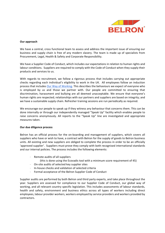

## **Our approach**

We have a central, cross functional team to assess and address the important issue of ensuring our business and supply chain is free of any modern slavery. The team is made up of specialists from Procurement, Legal, Health & Safety and Corporate Responsibility.

We have a Supplier Code of Conduct, which includes our expectations in relation to human rights and labour conditions. Suppliers are required to comply with the Code of Conduct when they supply their products and services to us.

With regards to recruitment, we follow a rigorous process that includes carrying out appropriate checks regarding each individual's eligibility to work in the UK. All employees follow an induction process that includes Our Way of Working. This describes the behaviours we expect of everyone who is employed by us and those we partner with. Our people are committed to ensuring that discrimination, harassment and bullying are all deemed unacceptable. We ensure that everyone's human rights are respected; relationships with our partners and suppliers are based on integrity; and we have a sustainable supply chain. Refresher training sessions are run periodically as required.

We encourage our people to speak up if they witness any behaviour that concerns them. This can be done internally or through our independently managed "Speak Up" facility which enables people to raise concerns anonymously. All reports to the "Speak Up" line are investigated and appropriate measures taken.

#### **Our due diligence process**

Belron has an official process for the on-boarding and management of suppliers, which covers all suppliers who have or wish to have, a contract with Belron for the supply of goods to Belron business units. All existing and new suppliers are obliged to complete the process in order to be an officially 'approved supplier'. Suppliers must prove they comply with both recognised international standards and our internal policies. The process includes the following elements:

- $\cdot$  Remote audits of all suppliers
	- (this is done using the Ecovadis tool with a minimum score requirement of 45)
- $\cdot$  On-site audits of selected key supplier sites
- $\cdot$  In-house checks and validation of selected criteria
- · Formal acceptance of the Belron Supplier Code of Conduct

Supplier audits are performed by both Belron and third party experts, and take place throughout the year. Suppliers are assessed for compliance to our Supplier Code of Conduct, our global way of working, and all relevant country specific legislation. This includes assessments of labour standards, health and safety, environment and business ethics across all types of workers including direct employees, labour provider workers, workers employed by service providers and workers provided by contractors.